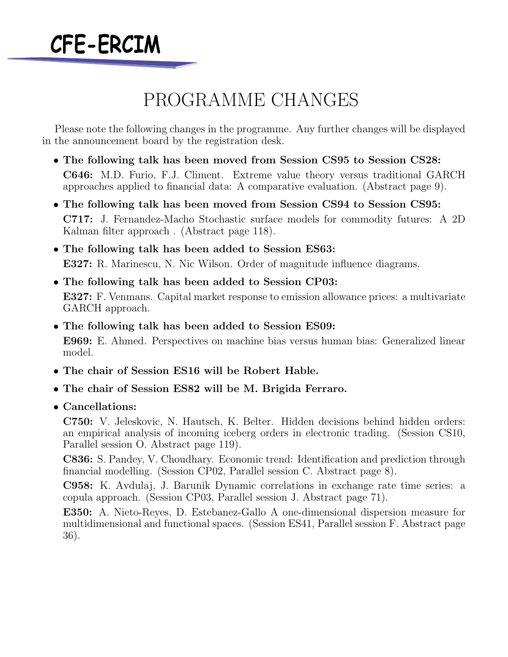

## PROGRAMME CHANGES

Please note the following changes in the programme. Any further changes will be displayed in the announcement board by the registration desk.

- *•* **The following talk has been moved from Session CS95 to Session CS28: C646:** M.D. Furio, F.J. Climent. Extreme value theory versus traditional GARCH approaches applied to financial data: A comparative evaluation. (Abstract page 9).
- *•* **The following talk has been moved from Session CS94 to Session CS95: C717:** J. Fernandez-Macho Stochastic surface models for commodity futures: A 2D Kalman filter approach . (Abstract page 118).
- *•* **The following talk has been added to Session ES63: E327:** R. Marinescu, N. Nic Wilson. Order of magnitude influence diagrams.
- *•* **The following talk has been added to Session CP03: E327:** F. Venmans. Capital market response to emission allowance prices: a multivariate GARCH approach.
- *•* **The following talk has been added to Session ES09:**

**E969:** E. Ahmed. Perspectives on machine bias versus human bias: Generalized linear model.

- *•* **The chair of Session ES16 will be Robert Hable.**
- *•* **The chair of Session ES82 will be M. Brigida Ferraro.**
- *•* **Cancellations:**

**C750:** V. Jeleskovic, N. Hautsch, K. Belter. Hidden decisions behind hidden orders: an empirical analysis of incoming iceberg orders in electronic trading. (Session CS10, Parallel session O. Abstract page 119).

**C836:** S. Pandey, V. Choudhary. Economic trend: Identification and prediction through financial modelling. (Session CP02, Parallel session C. Abstract page 8).

**C958:** K. Avdulaj, J. Barunik Dynamic correlations in exchange rate time series: a copula approach. (Session CP03, Parallel session J. Abstract page 71).

**E350:** A. Nieto-Reyes, D. Estebanez-Gallo A one-dimensional dispersion measure for multidimensional and functional spaces. (Session ES41, Parallel session F. Abstract page 36).